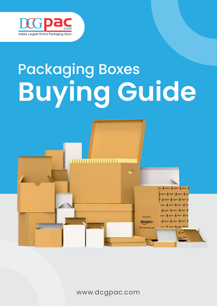

# Packaging Boxes **Buying Guide**



www.dcgpac.com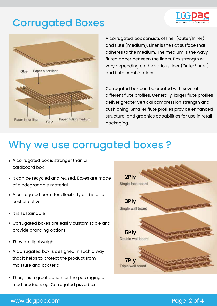### Corrugated Boxes



A corrugated box consists of liner (Outer/Inner) and flute (medium). Liner is the flat surface that adheres to the medium. The medium is the wavy, fluted paper between the liners. Box strength will vary depending on the various liner (Outer/Inner) and flute combinations.

Corrugated box can be created with several different flute profiles. Generally, larger flute profiles deliver greater vertical compression strength and cushioning. Smaller flute profiles provide enhanced structural and graphics capabilities for use in retail packaging.

## Why we use corrugated boxes ?

- A corrugated box is stronger than a cardboard box
- It can be recycled and reused. Boxes are made of biodegradable material
- A corrugated box offers flexibility and is also cost effective
- $\bullet$  It is sustainable
- Corrugated boxes are easily customizable and provide branding options.
- They are lightweight
- A Corrugated box is designed in such a way that it helps to protect the product from moisture and bacteria
- Thus, it is a great option for the packaging of food products eg: Corrugated pizza box



### www.dcgpac.com extensive properties and the page 2 of 4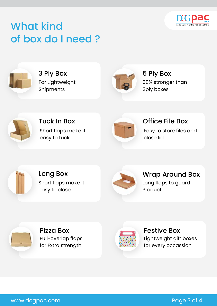![](_page_2_Picture_0.jpeg)

![](_page_2_Picture_1.jpeg)

![](_page_2_Picture_2.jpeg)

3 Ply Box For Lightweight Shipments

![](_page_2_Picture_4.jpeg)

5 Ply Box 38% stronger than 3ply boxes

![](_page_2_Picture_6.jpeg)

Short flaps make it easy to tuck

![](_page_2_Picture_8.jpeg)

Tuck In Box Office File Box Easy to store files and close lid

![](_page_2_Picture_10.jpeg)

Short flaps make it easy to close

![](_page_2_Picture_12.jpeg)

Long Box Wrap Around Box Long flaps to guard Product

![](_page_2_Picture_14.jpeg)

Pizza Box **Festive Box** Full-overlap flaps for Extra strength

![](_page_2_Picture_16.jpeg)

Lightweight gift boxes for every occassion